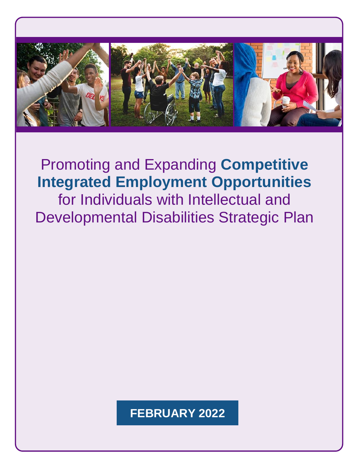

# Promoting and Expanding **Competitive Integrated Employment Opportunities**

for Individuals with Intellectual and Developmental Disabilities Strategic Plan

# **FEBRUARY 2022**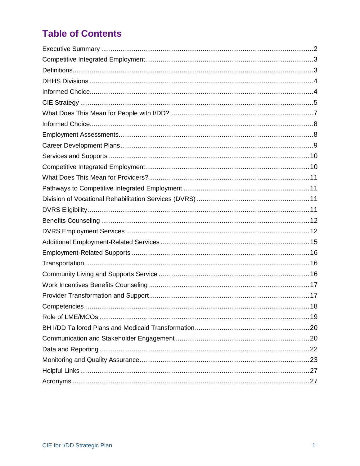# **Table of Contents**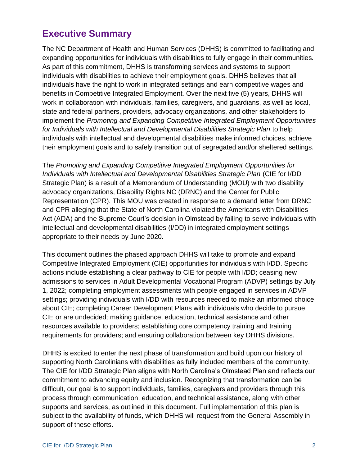# <span id="page-2-0"></span>**Executive Summary**

The NC Department of Health and Human Services (DHHS) is committed to facilitating and expanding opportunities for individuals with disabilities to fully engage in their communities. As part of this commitment, DHHS is transforming services and systems to support individuals with disabilities to achieve their employment goals. DHHS believes that all individuals have the right to work in integrated settings and earn competitive wages and benefits in Competitive Integrated Employment. Over the next five (5) years, DHHS will work in collaboration with individuals, families, caregivers, and guardians, as well as local, state and federal partners, providers, advocacy organizations, and other stakeholders to implement the *Promoting and Expanding Competitive Integrated Employment Opportunities for Individuals with Intellectual and Developmental Disabilities Strategic Plan* to help individuals with intellectual and developmental disabilities make informed choices, achieve their employment goals and to safely transition out of segregated and/or sheltered settings.

The *Promoting and Expanding Competitive Integrated Employment Opportunities for Individuals with Intellectual and Developmental Disabilities Strategic Plan* (CIE for I/DD Strategic Plan) is a result of a Memorandum of Understanding (MOU) with two disability advocacy organizations, Disability Rights NC (DRNC) and the Center for Public Representation (CPR). This MOU was created in response to a demand letter from DRNC and CPR alleging that the State of North Carolina violated the Americans with Disabilities Act (ADA) and the Supreme Court's decision in Olmstead by failing to serve individuals with intellectual and developmental disabilities (I/DD) in integrated employment settings appropriate to their needs by June 2020.

This document outlines the phased approach DHHS will take to promote and expand Competitive Integrated Employment (CIE) opportunities for individuals with I/DD. Specific actions include establishing a clear pathway to CIE for people with I/DD; ceasing new admissions to services in Adult Developmental Vocational Program (ADVP) settings by July 1, 2022; completing employment assessments with people engaged in services in ADVP settings; providing individuals with I/DD with resources needed to make an informed choice about CIE; completing Career Development Plans with individuals who decide to pursue CIE or are undecided; making guidance, education, technical assistance and other resources available to providers; establishing core competency training and training requirements for providers; and ensuring collaboration between key DHHS divisions.

DHHS is excited to enter the next phase of transformation and build upon our history of supporting North Carolinians with disabilities as fully included members of the community. The CIE for I/DD Strategic Plan aligns with North Carolina's Olmstead Plan and reflects our commitment to advancing equity and inclusion. Recognizing that transformation can be difficult, our goal is to support individuals, families, caregivers and providers through this process through communication, education, and technical assistance, along with other supports and services, as outlined in this document. Full implementation of this plan is subject to the availability of funds, which DHHS will request from the General Assembly in support of these efforts.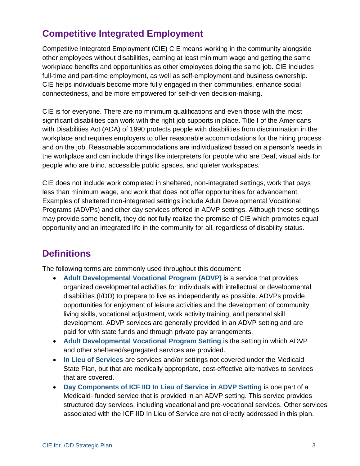# <span id="page-3-0"></span>**Competitive Integrated Employment**

Competitive Integrated Employment (CIE) CIE means working in the community alongside other employees without disabilities, earning at least minimum wage and getting the same workplace benefits and opportunities as other employees doing the same job. CIE includes full-time and part-time employment, as well as self-employment and business ownership. CIE helps individuals become more fully engaged in their communities, enhance social connectedness, and be more empowered for self-driven decision-making.

CIE is for everyone. There are no minimum qualifications and even those with the most significant disabilities can work with the right job supports in place. Title I of the Americans with Disabilities Act (ADA) of 1990 protects people with disabilities from discrimination in the workplace and requires employers to offer reasonable accommodations for the hiring process and on the job. Reasonable accommodations are individualized based on a person's needs in the workplace and can include things like interpreters for people who are Deaf, visual aids for people who are blind, accessible public spaces, and quieter workspaces.

CIE does not include work completed in sheltered, non-integrated settings, work that pays less than minimum wage, and work that does not offer opportunities for advancement. Examples of sheltered non-integrated settings include Adult Developmental Vocational Programs (ADVPs) and other day services offered in ADVP settings. Although these settings may provide some benefit, they do not fully realize the promise of CIE which promotes equal opportunity and an integrated life in the community for all, regardless of disability status.

# <span id="page-3-1"></span>**Definitions**

The following terms are commonly used throughout this document:

- **Adult Developmental Vocational Program (ADVP)** is a service that provides organized developmental activities for individuals with intellectual or developmental disabilities (I/DD) to prepare to live as independently as possible. ADVPs provide opportunities for enjoyment of leisure activities and the development of community living skills, vocational adjustment, work activity training, and personal skill development. ADVP services are generally provided in an ADVP setting and are paid for with state funds and through private pay arrangements.
- **Adult Developmental Vocational Program Setting** is the setting in which ADVP and other sheltered/segregated services are provided.
- **In Lieu of Services** are services and/or settings not covered under the Medicaid State Plan, but that are medically appropriate, cost-effective alternatives to services that are covered.
- **Day Components of ICF IID In Lieu of Service in ADVP Setting** is one part of a Medicaid- funded service that is provided in an ADVP setting. This service provides structured day services, including vocational and pre-vocational services. Other services associated with the ICF IID In Lieu of Service are not directly addressed in this plan.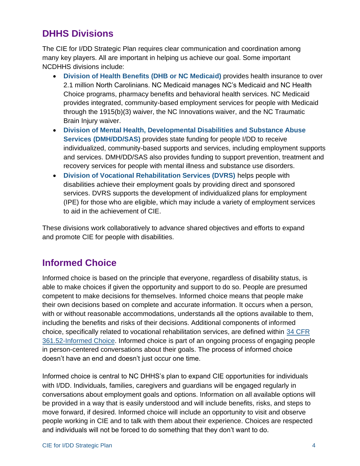# <span id="page-4-0"></span>**DHHS Divisions**

The CIE for I/DD Strategic Plan requires clear communication and coordination among many key players. All are important in helping us achieve our goal. Some important NCDHHS divisions include:

- **Division of Health Benefits (DHB or NC Medicaid)** provides health insurance to over 2.1 million North Carolinians. NC Medicaid manages NC's Medicaid and NC Health Choice programs, pharmacy benefits and behavioral health services. NC Medicaid provides integrated, community-based employment services for people with Medicaid through the 1915(b)(3) waiver, the NC Innovations waiver, and the NC Traumatic Brain Injury waiver.
- **Division of Mental Health, Developmental Disabilities and Substance Abuse Services (DMH/DD/SAS)** provides state funding for people I/DD to receive individualized, community-based supports and services, including employment supports and services. DMH/DD/SAS also provides funding to support prevention, treatment and recovery services for people with mental illness and substance use disorders.
- **Division of Vocational Rehabilitation Services (DVRS)** helps people with disabilities achieve their employment goals by providing direct and sponsored services. DVRS supports the development of individualized plans for employment (IPE) for those who are eligible, which may include a variety of employment services to aid in the achievement of CIE.

These divisions work collaboratively to advance shared objectives and efforts to expand and promote CIE for people with disabilities.

# <span id="page-4-1"></span>**Informed Choice**

Informed choice is based on the principle that everyone, regardless of disability status, is able to make choices if given the opportunity and support to do so. People are presumed competent to make decisions for themselves. Informed choice means that people make their own decisions based on complete and accurate information. It occurs when a person, with or without reasonable accommodations, understands all the options available to them, including the benefits and risks of their decisions. Additional components of informed choice, specifically related to vocational rehabilitation services, are defined within [34 CFR](https://www.law.cornell.edu/cfr/text/34/361.52) [361.52-Informed Choice.](https://www.law.cornell.edu/cfr/text/34/361.52) Informed choice is part of an ongoing process of engaging people in person-centered conversations about their goals. The process of informed choice doesn't have an end and doesn't just occur one time.

Informed choice is central to NC DHHS's plan to expand CIE opportunities for individuals with I/DD. Individuals, families, caregivers and guardians will be engaged regularly in conversations about employment goals and options. Information on all available options will be provided in a way that is easily understood and will include benefits, risks, and steps to move forward, if desired. Informed choice will include an opportunity to visit and observe people working in CIE and to talk with them about their experience. Choices are respected and individuals will not be forced to do something that they don't want to do.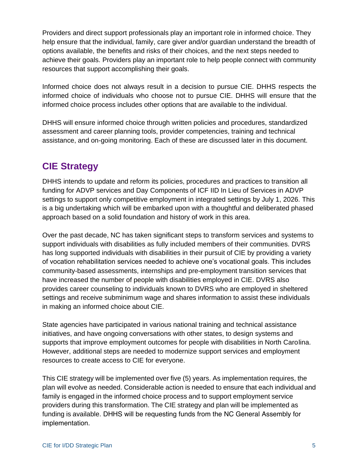Providers and direct support professionals play an important role in informed choice. They help ensure that the individual, family, care giver and/or guardian understand the breadth of options available, the benefits and risks of their choices, and the next steps needed to achieve their goals. Providers play an important role to help people connect with community resources that support accomplishing their goals.

Informed choice does not always result in a decision to pursue CIE. DHHS respects the informed choice of individuals who choose not to pursue CIE. DHHS will ensure that the informed choice process includes other options that are available to the individual.

DHHS will ensure informed choice through written policies and procedures, standardized assessment and career planning tools, provider competencies, training and technical assistance, and on-going monitoring. Each of these are discussed later in this document.

# <span id="page-5-0"></span>**CIE Strategy**

DHHS intends to update and reform its policies, procedures and practices to transition all funding for ADVP services and Day Components of ICF IID In Lieu of Services in ADVP settings to support only competitive employment in integrated settings by July 1, 2026. This is a big undertaking which will be embarked upon with a thoughtful and deliberated phased approach based on a solid foundation and history of work in this area.

Over the past decade, NC has taken significant steps to transform services and systems to support individuals with disabilities as fully included members of their communities. DVRS has long supported individuals with disabilities in their pursuit of CIE by providing a variety of vocation rehabilitation services needed to achieve one's vocational goals. This includes community-based assessments, internships and pre-employment transition services that have increased the number of people with disabilities employed in CIE. DVRS also provides career counseling to individuals known to DVRS who are employed in sheltered settings and receive subminimum wage and shares information to assist these individuals in making an informed choice about CIE.

State agencies have participated in various national training and technical assistance initiatives, and have ongoing conversations with other states, to design systems and supports that improve employment outcomes for people with disabilities in North Carolina. However, additional steps are needed to modernize support services and employment resources to create access to CIE for everyone.

This CIE strategy will be implemented over five (5) years. As implementation requires, the plan will evolve as needed. Considerable action is needed to ensure that each individual and family is engaged in the informed choice process and to support employment service providers during this transformation. The CIE strategy and plan will be implemented as funding is available. DHHS will be requesting funds from the NC General Assembly for implementation.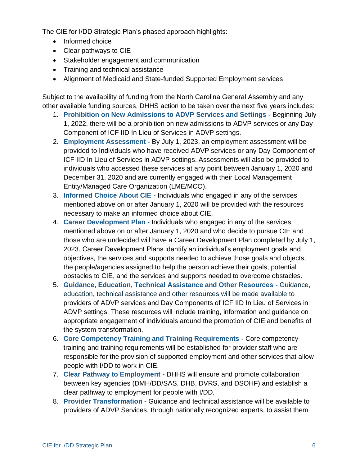The CIE for I/DD Strategic Plan's phased approach highlights:

- Informed choice
- Clear pathways to CIE
- Stakeholder engagement and communication
- Training and technical assistance
- Alignment of Medicaid and State-funded Supported Employment services

Subject to the availability of funding from the North Carolina General Assembly and any other available funding sources, DHHS action to be taken over the next five years includes:

- 1. **Prohibition on New Admissions to ADVP Services and Settings** Beginning July 1, 2022, there will be a prohibition on new admissions to ADVP services or any Day Component of ICF IID In Lieu of Services in ADVP settings.
- 2. **Employment Assessment** By July 1, 2023, an employment assessment will be provided to Individuals who have received ADVP services or any Day Component of ICF IID In Lieu of Services in ADVP settings. Assessments will also be provided to individuals who accessed these services at any point between January 1, 2020 and December 31, 2020 and are currently engaged with their Local Management Entity/Managed Care Organization (LME/MCO).
- 3. **Informed Choice About CIE** Individuals who engaged in any of the services mentioned above on or after January 1, 2020 will be provided with the resources necessary to make an informed choice about CIE.
- 4. **Career Development Plan -** Individuals who engaged in any of the services mentioned above on or after January 1, 2020 and who decide to pursue CIE and those who are undecided will have a Career Development Plan completed by July 1, 2023. Career Development Plans identify an individual's employment goals and objectives, the services and supports needed to achieve those goals and objects, the people/agencies assigned to help the person achieve their goals, potential obstacles to CIE, and the services and supports needed to overcome obstacles.
- 5. **Guidance, Education, Technical Assistance and Other Resources -** Guidance, education, technical assistance and other resources will be made available to providers of ADVP services and Day Components of ICF IID In Lieu of Services in ADVP settings. These resources will include training, information and guidance on appropriate engagement of individuals around the promotion of CIE and benefits of the system transformation.
- 6. **Core Competency Training and Training Requirements -** Core competency training and training requirements will be established for provider staff who are responsible for the provision of supported employment and other services that allow people with I/DD to work in CIE.
- 7. **Clear Pathway to Employment -** DHHS will ensure and promote collaboration between key agencies (DMH/DD/SAS, DHB, DVRS, and DSOHF) and establish a clear pathway to employment for people with I/DD.
- 8. **Provider Transformation -** Guidance and technical assistance will be available to providers of ADVP Services, through nationally recognized experts, to assist them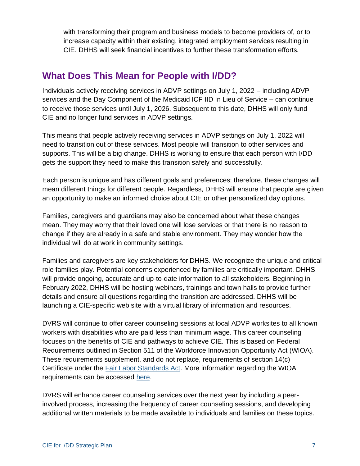with transforming their program and business models to become providers of, or to increase capacity within their existing, integrated employment services resulting in CIE. DHHS will seek financial incentives to further these transformation efforts.

# <span id="page-7-0"></span>**What Does This Mean for People with I/DD?**

Individuals actively receiving services in ADVP settings on July 1, 2022 – including ADVP services and the Day Component of the Medicaid ICF IID In Lieu of Service – can continue to receive those services until July 1, 2026. Subsequent to this date, DHHS will only fund CIE and no longer fund services in ADVP settings.

This means that people actively receiving services in ADVP settings on July 1, 2022 will need to transition out of these services. Most people will transition to other services and supports. This will be a big change. DHHS is working to ensure that each person with I/DD gets the support they need to make this transition safely and successfully.

Each person is unique and has different goals and preferences; therefore, these changes will mean different things for different people. Regardless, DHHS will ensure that people are given an opportunity to make an informed choice about CIE or other personalized day options.

Families, caregivers and guardians may also be concerned about what these changes mean. They may worry that their loved one will lose services or that there is no reason to change if they are already in a safe and stable environment. They may wonder how the individual will do at work in community settings.

Families and caregivers are key stakeholders for DHHS. We recognize the unique and critical role families play. Potential concerns experienced by families are critically important. DHHS will provide ongoing, accurate and up-to-date information to all stakeholders. Beginning in February 2022, DHHS will be hosting webinars, trainings and town halls to provide further details and ensure all questions regarding the transition are addressed. DHHS will be launching a CIE-specific web site with a virtual library of information and resources.

DVRS will continue to offer career counseling sessions at local ADVP worksites to all known workers with disabilities who are paid less than minimum wage. This career counseling focuses on the benefits of CIE and pathways to achieve CIE. This is based on Federal Requirements outlined in Section 511 of the Workforce Innovation Opportunity Act (WIOA). These requirements supplement, and do not replace, requirements of section 14(c) Certificate under the [Fair Labor Standards Act.](https://www.dol.gov/agencies/whd/special-employment) More information regarding the WIOA requirements can be accessed here.

DVRS will enhance career counseling services over the next year by including a peerinvolved process, increasing the frequency of career counseling sessions, and developing additional written materials to be made available to individuals and families on these topics.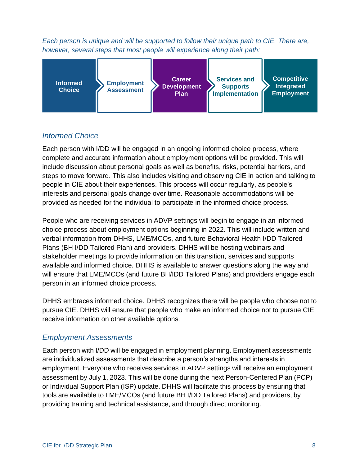<span id="page-8-0"></span>*Each person is unique and will be supported to follow their unique path to CIE. There are, however, several steps that most people will experience along their path:*



# *Informed Choice*

Each person with I/DD will be engaged in an ongoing informed choice process, where complete and accurate information about employment options will be provided. This will include discussion about personal goals as well as benefits, risks, potential barriers, and steps to move forward. This also includes visiting and observing CIE in action and talking to people in CIE about their experiences. This process will occur regularly, as people's interests and personal goals change over time. Reasonable accommodations will be provided as needed for the individual to participate in the informed choice process.

People who are receiving services in ADVP settings will begin to engage in an informed choice process about employment options beginning in 2022. This will include written and verbal information from DHHS, LME/MCOs, and future Behavioral Health I/DD Tailored Plans (BH I/DD Tailored Plan) and providers. DHHS will be hosting webinars and stakeholder meetings to provide information on this transition, services and supports available and informed choice. DHHS is available to answer questions along the way and will ensure that LME/MCOs (and future BH/IDD Tailored Plans) and providers engage each person in an informed choice process.

DHHS embraces informed choice. DHHS recognizes there will be people who choose not to pursue CIE. DHHS will ensure that people who make an informed choice not to pursue CIE receive information on other available options.

## <span id="page-8-1"></span>*Employment Assessments*

Each person with I/DD will be engaged in employment planning. Employment assessments are individualized assessments that describe a person's strengths and interests in employment. Everyone who receives services in ADVP settings will receive an employment assessment by July 1, 2023. This will be done during the next Person-Centered Plan (PCP) or Individual Support Plan (ISP) update. DHHS will facilitate this process by ensuring that tools are available to LME/MCOs (and future BH I/DD Tailored Plans) and providers, by providing training and technical assistance, and through direct monitoring.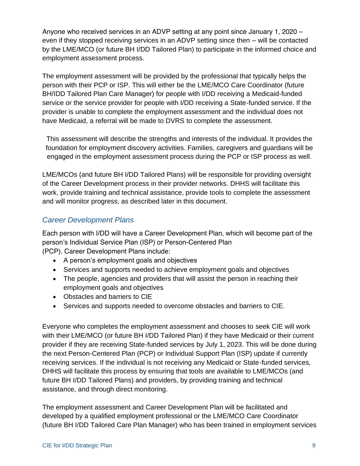Anyone who received services in an ADVP setting at any point since January 1, 2020 – even if they stopped receiving services in an ADVP setting since then – will be contacted by the LME/MCO (or future BH I/DD Tailored Plan) to participate in the informed choice and employment assessment process.

The employment assessment will be provided by the professional that typically helps the person with their PCP or ISP. This will either be the LME/MCO Care Coordinator (future BH/IDD Tailored Plan Care Manager) for people with I/DD receiving a Medicaid-funded service or the service provider for people with I/DD receiving a State-funded service. If the provider is unable to complete the employment assessment and the individual does not have Medicaid, a referral will be made to DVRS to complete the assessment.

This assessment will describe the strengths and interests of the individual. It provides the foundation for employment discovery activities. Families, caregivers and guardians will be engaged in the employment assessment process during the PCP or ISP process as well.

LME/MCOs (and future BH I/DD Tailored Plans) will be responsible for providing oversight of the Career Development process in their provider networks. DHHS will facilitate this work, provide training and technical assistance, provide tools to complete the assessment and will monitor progress, as described later in this document.

### <span id="page-9-0"></span>*Career Development Plans*

Each person with I/DD will have a Career Development Plan, which will become part of the person's Individual Service Plan (ISP) or Person-Centered Plan

(PCP). Career Development Plans include:

- A person's employment goals and objectives
- Services and supports needed to achieve employment goals and objectives
- The people, agencies and providers that will assist the person in reaching their employment goals and objectives
- Obstacles and barriers to CIE
- Services and supports needed to overcome obstacles and barriers to CIE.

Everyone who completes the employment assessment and chooses to seek CIE will work with their LME/MCO (or future BH I/DD Tailored Plan) if they have Medicaid or their current provider if they are receiving State-funded services by July 1, 2023. This will be done during the next Person-Centered Plan (PCP) or Individual Support Plan (ISP) update if currently receiving services. If the individual is not receiving any Medicaid or State-funded services, DHHS will facilitate this process by ensuring that tools are available to LME/MCOs (and future BH I/DD Tailored Plans) and providers, by providing training and technical assistance, and through direct monitoring.

The employment assessment and Career Development Plan will be facilitated and developed by a qualified employment professional or the LME/MCO Care Coordinator (future BH I/DD Tailored Care Plan Manager) who has been trained in employment services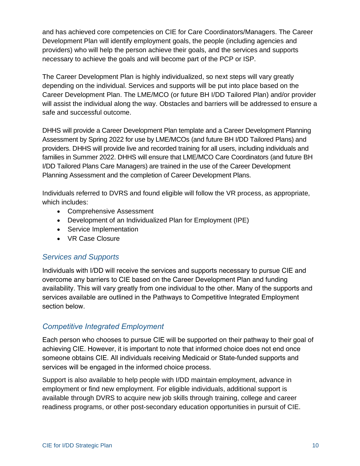and has achieved core competencies on CIE for Care Coordinators/Managers. The Career Development Plan will identify employment goals, the people (including agencies and providers) who will help the person achieve their goals, and the services and supports necessary to achieve the goals and will become part of the PCP or ISP.

The Career Development Plan is highly individualized, so next steps will vary greatly depending on the individual. Services and supports will be put into place based on the Career Development Plan. The LME/MCO (or future BH I/DD Tailored Plan) and/or provider will assist the individual along the way. Obstacles and barriers will be addressed to ensure a safe and successful outcome.

DHHS will provide a Career Development Plan template and a Career Development Planning Assessment by Spring 2022 for use by LME/MCOs (and future BH I/DD Tailored Plans) and providers. DHHS will provide live and recorded training for all users, including individuals and families in Summer 2022. DHHS will ensure that LME/MCO Care Coordinators (and future BH I/DD Tailored Plans Care Managers) are trained in the use of the Career Development Planning Assessment and the completion of Career Development Plans.

Individuals referred to DVRS and found eligible will follow the VR process, as appropriate, which includes:

- Comprehensive Assessment
- Development of an Individualized Plan for Employment (IPE)
- Service Implementation
- VR Case Closure

## <span id="page-10-0"></span>*Services and Supports*

Individuals with I/DD will receive the services and supports necessary to pursue CIE and overcome any barriers to CIE based on the Career Development Plan and funding availability. This will vary greatly from one individual to the other. Many of the supports and services available are outlined in the Pathways to Competitive Integrated Employment section below.

# <span id="page-10-1"></span>*Competitive Integrated Employment*

Each person who chooses to pursue CIE will be supported on their pathway to their goal of achieving CIE. However, it is important to note that informed choice does not end once someone obtains CIE. All individuals receiving Medicaid or State-funded supports and services will be engaged in the informed choice process.

Support is also available to help people with I/DD maintain employment, advance in employment or find new employment. For eligible individuals, additional support is available through DVRS to acquire new job skills through training, college and career readiness programs, or other post-secondary education opportunities in pursuit of CIE.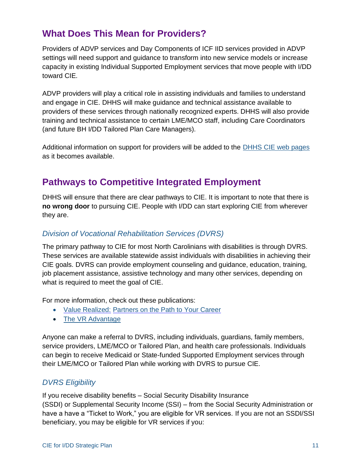# <span id="page-11-0"></span>**What Does This Mean for Providers?**

Providers of ADVP services and Day Components of ICF IID services provided in ADVP settings will need support and guidance to transform into new service models or increase capacity in existing Individual Supported Employment services that move people with I/DD toward CIE.

ADVP providers will play a critical role in assisting individuals and families to understand and engage in CIE. DHHS will make guidance and technical assistance available to providers of these services through nationally recognized experts. DHHS will also provide training and technical assistance to certain LME/MCO staff, including Care Coordinators (and future BH I/DD Tailored Plan Care Managers).

Additional information on support for providers will be added to the [DHHS CIE web pages](https://www.ncdhhs.gov/about/department-initiatives/competitive-integrated-employment) as it becomes available.

# <span id="page-11-1"></span>**Pathways to Competitive Integrated Employment**

DHHS will ensure that there are clear pathways to CIE. It is important to note that there is **no wrong door** to pursuing CIE. People with I/DD can start exploring CIE from wherever they are.

### <span id="page-11-2"></span>*Division of Vocational Rehabilitation Services (DVRS)*

The primary pathway to CIE for most North Carolinians with disabilities is through DVRS. These services are available statewide assist individuals with disabilities in achieving their CIE goals. DVRS can provide employment counseling and guidance, education, training, job placement assistance, assistive technology and many other services, depending on what is required to meet the goal of CIE.

For more information, check out these publications:

- [Value Realized:](https://www.ncdhhs.gov/documents/files/vrvaluerealized-wr2-12-15-2017/download) [Partners on the Path to Your Career](https://www.ncdhhs.gov/documents/files/vrvaluerealized-wr2-12-15-2017/download)
- [The VR Advantage](https://www.ncdhhs.gov/media/754/open)

Anyone can make a referral to DVRS, including individuals, guardians, family members, service providers, LME/MCO or Tailored Plan, and health care professionals. Individuals can begin to receive Medicaid or State-funded Supported Employment services through their LME/MCO or Tailored Plan while working with DVRS to pursue CIE.

### <span id="page-11-3"></span>*DVRS Eligibility*

If you receive disability benefits – Social Security Disability Insurance (SSDI) or Supplemental Security Income (SSI) – from the Social Security Administration or have a have a "Ticket to Work," you are eligible for VR services. If you are not an SSDI/SSI beneficiary, you may be eligible for VR services if you: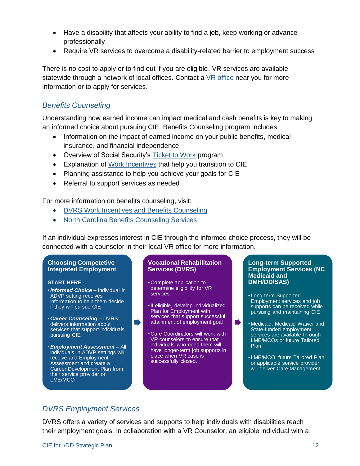- Have a disability that affects your ability to find a job, keep working or advance professionally
- Require VR services to overcome a disability-related barrier to employment success

There is no cost to apply or to find out if you are eligible. VR services are available statewide through a network of local offices. Contact a VR [office](https://www.ncdhhs.gov/divisions/dvrs/vr-local-offices) near you for more information or to apply for services.

### <span id="page-12-0"></span>*Benefits Counseling*

Understanding how earned income can impact medical and cash benefits is key to making an informed choice about pursuing CIE. Benefits Counseling program includes:

- Information on the impact of earned income on your public benefits, medical insurance, and financial independence
- Overview of Social Security's [Ticket to Work](https://choosework.ssa.gov/library/meet-ben-an-introduction-to-ticket-to-work) program
- Explanation of [Work Incentives](https://choosework.ssa.gov/about/work-incentives/index.html) that help you transition to CIE
- Planning assistance to help you achieve your goals for CIE
- Referral to support services as needed

For more information on benefits counseling, visit:

• [DVRS Work Incentives and Benefits Counseling](https://www.ncdhhs.gov/divisions/vocational-rehabilitation-services/work-incentives-and-benefits-counseling)

 $\blacksquare$ 

• [North Carolina Benefits Counseling Services](https://www.servicesource.org/north-carolina-benefits-counseling-services/)

If an individual expresses interest in CIE through the informed choice process, they will be connected with a counselor in their local VR office for more information.

#### **Choosing Competetive Integrated Employment**

#### **START HERE**

- •*Informed Choice –* Individual in ADVP setting receives information to help them decide if they will pursue CIE
- *Career Counseling –* DVRS delivers information about services that support individuals pursuing CIE
- •*Employment Assessment –* All individuals in ADVP settings will receive and Employment Assessment and create a Career Development Plan from their service provider or LME/MCO

#### **Vocational Rehabilitation Services (DVRS)**

- Complete application to determine eligibility for VR services
- •If eligible, develop Individualized Plan for Employment with services that support successful attainment of employment goal
- Care Coordinators will work with VR counselors to ensure that individuals who need them will have longer-term job supports in place when VR case is successfully closed.

#### **Long-term Supported Employment Services (NC Medicaid and DMH/DD/SAS)**

- Long-term Supported Employment services and job supports can be received while pursuing and maintaining CIE
- Medicaid, Medicaid Waiver and State-funded employment services are available through LME/MCOs or future Tailored Plan

■

• LME/MCO, future Tailored Plan or applicable service provider will deliver Care Management

## <span id="page-12-1"></span>*DVRS Employment Services*

DVRS offers a variety of services and supports to help individuals with disabilities reach their employment goals. In collaboration with a VR Counselor, an eligible individual with a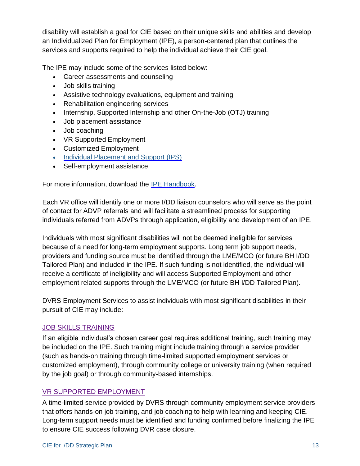disability will establish a goal for CIE based on their unique skills and abilities and develop an Individualized Plan for Employment (IPE), a person-centered plan that outlines the services and supports required to help the individual achieve their CIE goal.

The IPE may include some of the services listed below:

- Career assessments and counseling
- Job skills training
- Assistive technology evaluations, equipment and training
- Rehabilitation engineering services
- Internship, Supported Internship and other On-the-Job (OTJ) training
- Job placement assistance
- Job coaching
- VR Supported Employment
- Customized Employment
- [Individual Placement and Support \(IPS\)](https://www.ncdhhs.gov/documents/individual-placement-and-support)
- Self-employment assistance

For more information, download the [IPE Handbook.](https://www.ncdhhs.gov/documents/files/2017ipehandbook-wr/download)

Each VR office will identify one or more I/DD liaison counselors who will serve as the point of contact for ADVP referrals and will facilitate a streamlined process for supporting individuals referred from ADVPs through application, eligibility and development of an IPE.

Individuals with most significant disabilities will not be deemed ineligible for services because of a need for long-term employment supports. Long term job support needs, providers and funding source must be identified through the LME/MCO (or future BH I/DD Tailored Plan) and included in the IPE. If such funding is not identified, the individual will receive a certificate of ineligibility and will access Supported Employment and other employment related supports through the LME/MCO (or future BH I/DD Tailored Plan).

DVRS Employment Services to assist individuals with most significant disabilities in their pursuit of CIE may include:

### JOB SKILLS TRAINING

If an eligible individual's chosen career goal requires additional training, such training may be included on the IPE. Such training might include training through a service provider (such as hands-on training through time-limited supported employment services or customized employment), through community college or university training (when required by the job goal) or through community-based internships.

### VR SUPPORTED EMPLOYMENT

A time-limited service provided by DVRS through community employment service providers that offers hands-on job training, and job coaching to help with learning and keeping CIE. Long-term support needs must be identified and funding confirmed before finalizing the IPE to ensure CIE success following DVR case closure.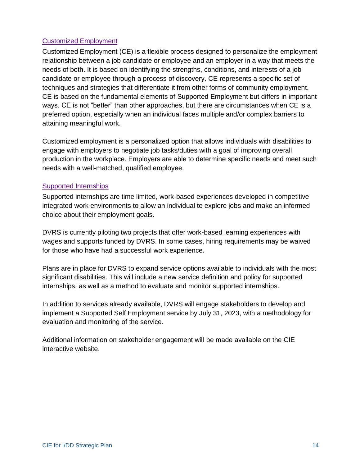### Customized Employment

Customized Employment (CE) is a flexible process designed to personalize the employment relationship between a job candidate or employee and an employer in a way that meets the needs of both. It is based on identifying the strengths, conditions, and interests of a job candidate or employee through a process of discovery. CE represents a specific set of techniques and strategies that differentiate it from other forms of community employment. CE is based on the fundamental elements of Supported Employment but differs in important ways. CE is not "better" than other approaches, but there are circumstances when CE is a preferred option, especially when an individual faces multiple and/or complex barriers to attaining meaningful work.

Customized employment is a personalized option that allows individuals with disabilities to engage with employers to negotiate job tasks/duties with a goal of improving overall production in the workplace. Employers are able to determine specific needs and meet such needs with a well-matched, qualified employee.

### Supported Internships

Supported internships are time limited, work-based experiences developed in competitive integrated work environments to allow an individual to explore jobs and make an informed choice about their employment goals.

DVRS is currently piloting two projects that offer work-based learning experiences with wages and supports funded by DVRS. In some cases, hiring requirements may be waived for those who have had a successful work experience.

Plans are in place for DVRS to expand service options available to individuals with the most significant disabilities. This will include a new service definition and policy for supported internships, as well as a method to evaluate and monitor supported internships.

In addition to services already available, DVRS will engage stakeholders to develop and implement a Supported Self Employment service by July 31, 2023, with a methodology for evaluation and monitoring of the service.

Additional information on stakeholder engagement will be made available on the CIE interactive website.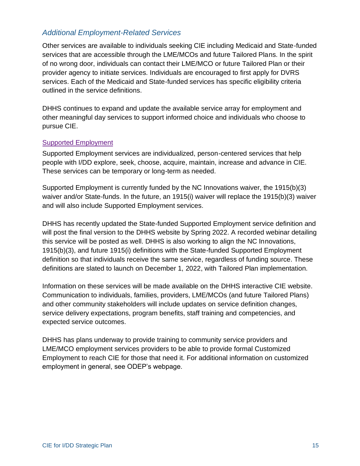### <span id="page-15-0"></span>*Additional Employment-Related Services*

Other services are available to individuals seeking CIE including Medicaid and State-funded services that are accessible through the LME/MCOs and future Tailored Plans. In the spirit of no wrong door, individuals can contact their LME/MCO or future Tailored Plan or their provider agency to initiate services. Individuals are encouraged to first apply for DVRS services. Each of the Medicaid and State-funded services has specific eligibility criteria outlined in the service definitions.

DHHS continues to expand and update the available service array for employment and other meaningful day services to support informed choice and individuals who choose to pursue CIE.

#### Supported Employment

Supported Employment services are individualized, person-centered services that help people with I/DD explore, seek, choose, acquire, maintain, increase and advance in CIE. These services can be temporary or long-term as needed.

Supported Employment is currently funded by the NC Innovations waiver, the 1915(b)(3) waiver and/or State-funds. In the future, an 1915(i) waiver will replace the 1915(b)(3) waiver and will also include Supported Employment services.

DHHS has recently updated the State-funded Supported Employment service definition and will post the final version to the DHHS website by Spring 2022. A recorded webinar detailing this service will be posted as well. DHHS is also working to align the NC Innovations, 1915(b)(3), and future 1915(i) definitions with the State-funded Supported Employment definition so that individuals receive the same service, regardless of funding source. These definitions are slated to launch on December 1, 2022, with Tailored Plan implementation.

Information on these services will be made available on the DHHS interactive CIE website. Communication to individuals, families, providers, LME/MCOs (and future Tailored Plans) and other community stakeholders will include updates on service definition changes, service delivery expectations, program benefits, staff training and competencies, and expected service outcomes.

DHHS has plans underway to provide training to community service providers and LME/MCO employment services providers to be able to provide formal Customized Employment to reach CIE for those that need it. For additional information on customized employment in general, see ODEP's webpage.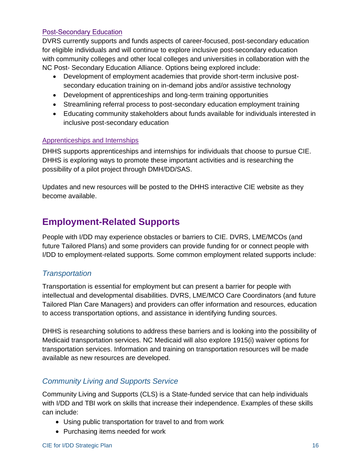#### Post-Secondary Education

DVRS currently supports and funds aspects of career-focused, post-secondary education for eligible individuals and will continue to explore inclusive post-secondary education with community colleges and other local colleges and universities in collaboration with the NC Post- Secondary Education Alliance. Options being explored include:

- Development of employment academies that provide short-term inclusive postsecondary education training on in-demand jobs and/or assistive technology
- Development of apprenticeships and long-term training opportunities
- Streamlining referral process to post-secondary education employment training
- Educating community stakeholders about funds available for individuals interested in inclusive post-secondary education

#### Apprenticeships and Internships

DHHS supports apprenticeships and internships for individuals that choose to pursue CIE. DHHS is exploring ways to promote these important activities and is researching the possibility of a pilot project through DMH/DD/SAS.

<span id="page-16-0"></span>Updates and new resources will be posted to the DHHS interactive CIE website as they become available.

# **Employment-Related Supports**

People with I/DD may experience obstacles or barriers to CIE. DVRS, LME/MCOs (and future Tailored Plans) and some providers can provide funding for or connect people with I/DD to employment-related supports. Some common employment related supports include:

### <span id="page-16-1"></span>*Transportation*

Transportation is essential for employment but can present a barrier for people with intellectual and developmental disabilities. DVRS, LME/MCO Care Coordinators (and future Tailored Plan Care Managers) and providers can offer information and resources, education to access transportation options, and assistance in identifying funding sources.

DHHS is researching solutions to address these barriers and is looking into the possibility of Medicaid transportation services. NC Medicaid will also explore 1915(i) waiver options for transportation services. Information and training on transportation resources will be made available as new resources are developed.

## <span id="page-16-2"></span>*Community Living and Supports Service*

Community Living and Supports (CLS) is a State-funded service that can help individuals with I/DD and TBI work on skills that increase their independence. Examples of these skills can include:

- Using public transportation for travel to and from work
- Purchasing items needed for work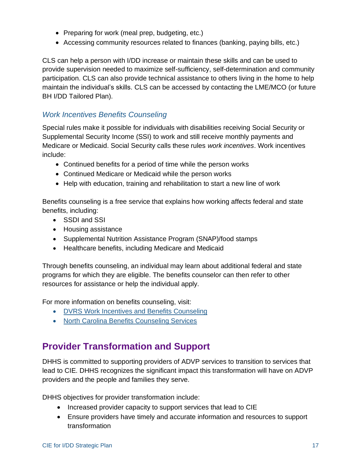- Preparing for work (meal prep, budgeting, etc.)
- Accessing community resources related to finances (banking, paying bills, etc.)

CLS can help a person with I/DD increase or maintain these skills and can be used to provide supervision needed to maximize self-sufficiency, self-determination and community participation. CLS can also provide technical assistance to others living in the home to help maintain the individual's skills. CLS can be accessed by contacting the LME/MCO (or future BH I/DD Tailored Plan).

### <span id="page-17-0"></span>*Work Incentives Benefits Counseling*

Special rules make it possible for individuals with disabilities receiving Social Security or Supplemental Security Income (SSI) to work and still receive monthly payments and Medicare or Medicaid. Social Security calls these rules *work incentives*. Work incentives include:

- Continued benefits for a period of time while the person works
- Continued Medicare or Medicaid while the person works
- Help with education, training and rehabilitation to start a new line of work

Benefits counseling is a free service that explains how working affects federal and state benefits, including:

- SSDI and SSI
- Housing assistance
- Supplemental Nutrition Assistance Program (SNAP)/food stamps
- Healthcare benefits, including Medicare and Medicaid

Through benefits counseling, an individual may learn about additional federal and state programs for which they are eligible. The benefits counselor can then refer to other resources for assistance or help the individual apply.

For more information on benefits counseling, visit:

- [DVRS Work Incentives and Benefits Counseling](https://www.ncdhhs.gov/divisions/vocational-rehabilitation-services/work-incentives-and-benefits-counseling)
- <span id="page-17-1"></span>• [North Carolina Benefits Counseling Services](https://www.servicesource.org/north-carolina-benefits-counseling-services/)

# **Provider Transformation and Support**

DHHS is committed to supporting providers of ADVP services to transition to services that lead to CIE. DHHS recognizes the significant impact this transformation will have on ADVP providers and the people and families they serve.

DHHS objectives for provider transformation include:

- Increased provider capacity to support services that lead to CIE
- Ensure providers have timely and accurate information and resources to support transformation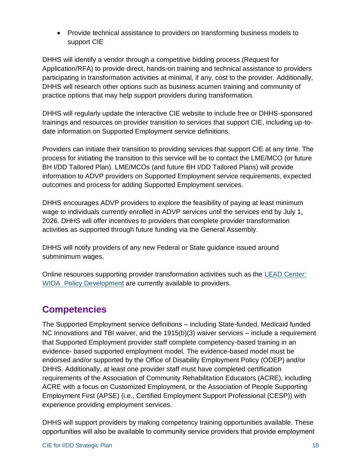• Provide technical assistance to providers on transforming business models to support CIE

DHHS will identify a vendor through a competitive bidding process (Request for Application/RFA) to provide direct, hands-on training and technical assistance to providers participating in transformation activities at minimal, if any, cost to the provider. Additionally, DHHS will research other options such as business acumen training and community of practice options that may help support providers during transformation.

DHHS will regularly update the interactive CIE website to include free or DHHS-sponsored trainings and resources on provider transition to services that support CIE, including up-todate information on Supported Employment service definitions.

Providers can initiate their transition to providing services that support CIE at any time. The process for initiating the transition to this service will be to contact the LME/MCO (or future BH I/DD Tailored Plan). LME/MCOs (and future BH I/DD Tailored Plans) will provide information to ADVP providers on Supported Employment service requirements, expected outcomes and process for adding Supported Employment services.

DHHS encourages ADVP providers to explore the feasibility of paying at least minimum wage to individuals currently enrolled in ADVP services until the services end by July 1, 2026. DHHS will offer incentives to providers that complete provider transformation activities as supported through future funding via the General Assembly.

DHHS will notify providers of any new Federal or State guidance issued around subminimum wages.

Online resources supporting provider transformation activities such as the [LEAD Center:](https://leadcenter.org/employment_first/provider-transformation-2-0-manual/) [WIOA](https://leadcenter.org/employment_first/provider-transformation-2-0-manual/) [Policy Development a](https://leadcenter.org/employment_first/provider-transformation-2-0-manual/)re currently available to providers.

# <span id="page-18-0"></span>**Competencies**

The Supported Employment service definitions – including State-funded, Medicaid funded NC Innovations and TBI waiver, and the 1915(b)(3) waiver services – include a requirement that Supported Employment provider staff complete competency-based training in an evidence- based supported employment model. The evidence-based model must be endorsed and/or supported by the Office of Disability Employment Policy (ODEP) and/or DHHS. Additionally, at least one provider staff must have completed certification requirements of the Association of Community Rehabilitation Educators (ACRE), including ACRE with a focus on Customized Employment, or the Association of People Supporting Employment First (APSE) (i.e., Certified Employment Support Professional (CESP)) with experience providing employment services.

DHHS will support providers by making competency training opportunities available. These opportunities will also be available to community service providers that provide employment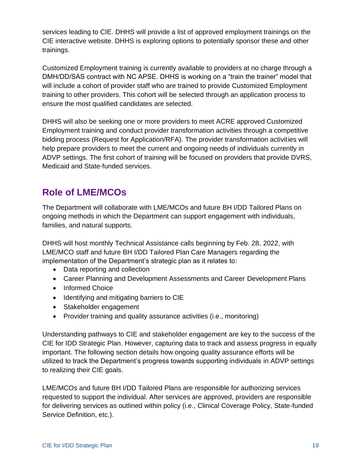services leading to CIE. DHHS will provide a list of approved employment trainings on the CIE interactive website. DHHS is exploring options to potentially sponsor these and other trainings.

Customized Employment training is currently available to providers at no charge through a DMH/DD/SAS contract with NC APSE. DHHS is working on a "train the trainer" model that will include a cohort of provider staff who are trained to provide Customized Employment training to other providers. This cohort will be selected through an application process to ensure the most qualified candidates are selected.

DHHS will also be seeking one or more providers to meet ACRE approved Customized Employment training and conduct provider transformation activities through a competitive bidding process (Request for Application/RFA). The provider transformation activities will help prepare providers to meet the current and ongoing needs of individuals currently in ADVP settings. The first cohort of training will be focused on providers that provide DVRS, Medicaid and State-funded services.

# <span id="page-19-0"></span>**Role of LME/MCOs**

The Department will collaborate with LME/MCOs and future BH I/DD Tailored Plans on ongoing methods in which the Department can support engagement with individuals, families, and natural supports.

DHHS will host monthly Technical Assistance calls beginning by Feb. 28, 2022, with LME/MCO staff and future BH I/DD Tailored Plan Care Managers regarding the implementation of the Department's strategic plan as it relates to:

- Data reporting and collection
- Career Planning and Development Assessments and Career Development Plans
- Informed Choice
- Identifying and mitigating barriers to CIE
- Stakeholder engagement
- Provider training and quality assurance activities (i.e., monitoring)

Understanding pathways to CIE and stakeholder engagement are key to the success of the CIE for IDD Strategic Plan. However, capturing data to track and assess progress in equally important. The following section details how ongoing quality assurance efforts will be utilized to track the Department's progress towards supporting individuals in ADVP settings to realizing their CIE goals.

LME/MCOs and future BH I/DD Tailored Plans are responsible for authorizing services requested to support the individual. After services are approved, providers are responsible for delivering services as outlined within policy (i.e., Clinical Coverage Policy, State-funded Service Definition, etc.).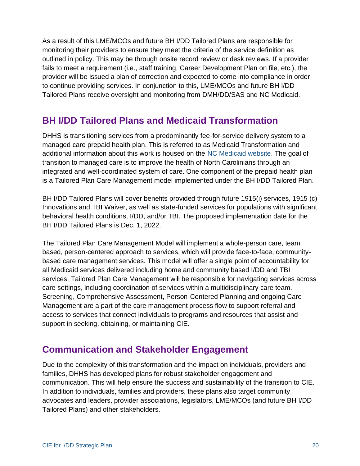As a result of this LME/MCOs and future BH I/DD Tailored Plans are responsible for monitoring their providers to ensure they meet the criteria of the service definition as outlined in policy. This may be through onsite record review or desk reviews. If a provider fails to meet a requirement (i.e., staff training, Career Development Plan on file, etc.), the provider will be issued a plan of correction and expected to come into compliance in order to continue providing services. In conjunction to this, LME/MCOs and future BH I/DD Tailored Plans receive oversight and monitoring from DMH/DD/SAS and NC Medicaid.

# <span id="page-20-0"></span>**BH I/DD Tailored Plans and Medicaid Transformation**

DHHS is transitioning services from a predominantly fee-for-service delivery system to a managed care prepaid health plan. This is referred to as Medicaid Transformation and additional information about this work is housed on the [NC Medicaid website.](https://medicaid.ncdhhs.gov/transformation) The goal of transition to managed care is to improve the health of North Carolinians through an integrated and well-coordinated system of care. One component of the prepaid health plan is a Tailored Plan Care Management model implemented under the BH I/DD Tailored Plan.

BH I/DD Tailored Plans will cover benefits provided through future 1915(i) services, 1915 (c) Innovations and TBI Waiver, as well as state-funded services for populations with significant behavioral health conditions, I/DD, and/or TBI. The proposed implementation date for the BH I/DD Tailored Plans is Dec. 1, 2022.

The Tailored Plan Care Management Model will implement a whole-person care, team based, person-centered approach to services, which will provide face-to-face, communitybased care management services. This model will offer a single point of accountability for all Medicaid services delivered including home and community based I/DD and TBI services. Tailored Plan Care Management will be responsible for navigating services across care settings, including coordination of services within a multidisciplinary care team. Screening, Comprehensive Assessment, Person-Centered Planning and ongoing Care Management are a part of the care management process flow to support referral and access to services that connect individuals to programs and resources that assist and support in seeking, obtaining, or maintaining CIE.

# <span id="page-20-1"></span>**Communication and Stakeholder Engagement**

Due to the complexity of this transformation and the impact on individuals, providers and families, DHHS has developed plans for robust stakeholder engagement and communication. This will help ensure the success and sustainability of the transition to CIE. In addition to individuals, families and providers, these plans also target community advocates and leaders, provider associations, legislators, LME/MCOs (and future BH I/DD Tailored Plans) and other stakeholders.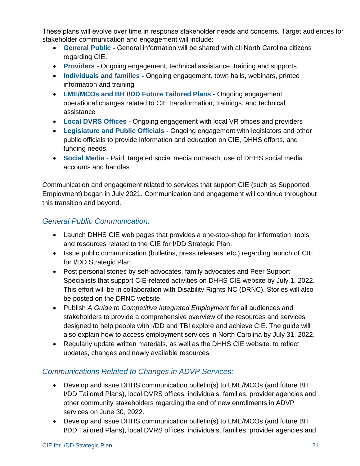These plans will evolve over time in response stakeholder needs and concerns. Target audiences for stakeholder communication and engagement will include:

- **General Public -** General information will be shared with all North Carolina citizens regarding CIE.
- **Providers -** Ongoing engagement, technical assistance, training and supports
- **Individuals and families -** Ongoing engagement, town halls, webinars, printed information and training
- **LME/MCOs and BH I/DD Future Tailored Plans -** Ongoing engagement, operational changes related to CIE transformation, trainings, and technical assistance
- **Local DVRS Offices -** Ongoing engagement with local VR offices and providers
- **Legislature and Public Officials -** Ongoing engagement with legislators and other public officials to provide information and education on CIE, DHHS efforts, and funding needs.
- **Social Media -** Paid, targeted social media outreach, use of DHHS social media accounts and handles

Communication and engagement related to services that support CIE (such as Supported Employment) began in July 2021. Communication and engagement will continue throughout this transition and beyond.

## *General Public Communication:*

- Launch DHHS CIE web pages that provides a one-stop-shop for information, tools and resources related to the CIE for I/DD Strategic Plan.
- Issue public communication (bulletins, press releases, etc.) regarding launch of CIE for I/DD Strategic Plan.
- Post personal stories by self-advocates, family advocates and Peer Support Specialists that support CIE-related activities on DHHS CIE website by July 1, 2022. This effort will be in collaboration with Disability Rights NC (DRNC). Stories will also be posted on the DRNC website.
- Publish *A Guide to Competitive Integrated Employment* for all audiences and stakeholders to provide a comprehensive overview of the resources and services designed to help people with I/DD and TBI explore and achieve CIE. The guide will also explain how to access employment services in North Carolina by July 31, 2022.
- Regularly update written materials, as well as the DHHS CIE website, to reflect updates, changes and newly available resources.

# *Communications Related to Changes in ADVP Services:*

- Develop and issue DHHS communication bulletin(s) to LME/MCOs (and future BH I/DD Tailored Plans), local DVRS offices, individuals, families, provider agencies and other community stakeholders regarding the end of new enrollments in ADVP services on June 30, 2022.
- Develop and issue DHHS communication bulletin(s) to LME/MCOs (and future BH I/DD Tailored Plans), local DVRS offices, individuals, families, provider agencies and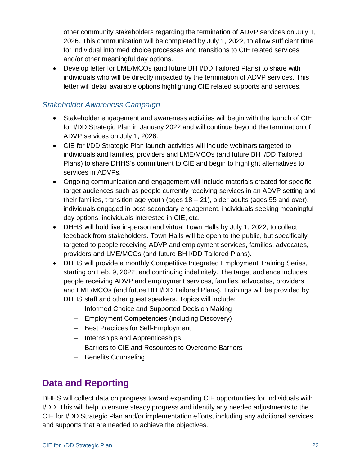other community stakeholders regarding the termination of ADVP services on July 1, 2026. This communication will be completed by July 1, 2022, to allow sufficient time for individual informed choice processes and transitions to CIE related services and/or other meaningful day options.

• Develop letter for LME/MCOs (and future BH I/DD Tailored Plans) to share with individuals who will be directly impacted by the termination of ADVP services. This letter will detail available options highlighting CIE related supports and services.

# *Stakeholder Awareness Campaign*

- Stakeholder engagement and awareness activities will begin with the launch of CIE for I/DD Strategic Plan in January 2022 and will continue beyond the termination of ADVP services on July 1, 2026.
- CIE for I/DD Strategic Plan launch activities will include webinars targeted to individuals and families, providers and LME/MCOs (and future BH I/DD Tailored Plans) to share DHHS's commitment to CIE and begin to highlight alternatives to services in ADVPs.
- Ongoing communication and engagement will include materials created for specific target audiences such as people currently receiving services in an ADVP setting and their families, transition age youth (ages  $18 - 21$ ), older adults (ages 55 and over), individuals engaged in post-secondary engagement, individuals seeking meaningful day options, individuals interested in CIE, etc.
- DHHS will hold live in-person and virtual Town Halls by July 1, 2022, to collect feedback from stakeholders. Town Halls will be open to the public, but specifically targeted to people receiving ADVP and employment services, families, advocates, providers and LME/MCOs (and future BH I/DD Tailored Plans).
- DHHS will provide a monthly Competitive Integrated Employment Training Series, starting on Feb. 9, 2022, and continuing indefinitely. The target audience includes people receiving ADVP and employment services, families, advocates, providers and LME/MCOs (and future BH I/DD Tailored Plans). Trainings will be provided by DHHS staff and other guest speakers. Topics will include:
	- − Informed Choice and Supported Decision Making
	- − Employment Competencies (including Discovery)
	- − Best Practices for Self-Employment
	- − Internships and Apprenticeships
	- − Barriers to CIE and Resources to Overcome Barriers
	- − Benefits Counseling

# <span id="page-22-0"></span>**Data and Reporting**

DHHS will collect data on progress toward expanding CIE opportunities for individuals with I/DD. This will help to ensure steady progress and identify any needed adjustments to the CIE for I/DD Strategic Plan and/or implementation efforts, including any additional services and supports that are needed to achieve the objectives.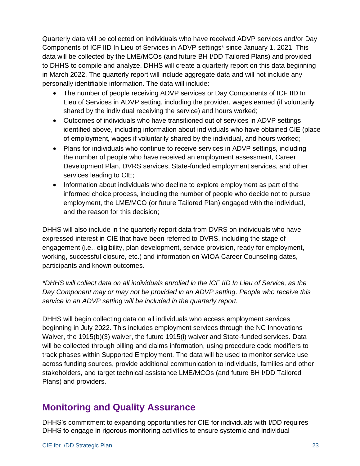Quarterly data will be collected on individuals who have received ADVP services and/or Day Components of ICF IID In Lieu of Services in ADVP settings\* since January 1, 2021. This data will be collected by the LME/MCOs (and future BH I/DD Tailored Plans) and provided to DHHS to compile and analyze. DHHS will create a quarterly report on this data beginning in March 2022. The quarterly report will include aggregate data and will not include any personally identifiable information. The data will include:

- The number of people receiving ADVP services or Day Components of ICF IID In Lieu of Services in ADVP setting, including the provider, wages earned (if voluntarily shared by the individual receiving the service) and hours worked;
- Outcomes of individuals who have transitioned out of services in ADVP settings identified above, including information about individuals who have obtained CIE (place of employment, wages if voluntarily shared by the individual, and hours worked;
- Plans for individuals who continue to receive services in ADVP settings, including the number of people who have received an employment assessment, Career Development Plan, DVRS services, State-funded employment services, and other services leading to CIE;
- Information about individuals who decline to explore employment as part of the informed choice process, including the number of people who decide not to pursue employment, the LME/MCO (or future Tailored Plan) engaged with the individual, and the reason for this decision;

DHHS will also include in the quarterly report data from DVRS on individuals who have expressed interest in CIE that have been referred to DVRS, including the stage of engagement (i.e., eligibility, plan development, service provision, ready for employment, working, successful closure, etc.) and information on WIOA Career Counseling dates, participants and known outcomes.

*\*DHHS will collect data on all individuals enrolled in the ICF IID In Lieu of Service, as the Day Component may or may not be provided in an ADVP setting. People who receive this service in an ADVP setting will be included in the quarterly report.*

DHHS will begin collecting data on all individuals who access employment services beginning in July 2022. This includes employment services through the NC Innovations Waiver, the 1915(b)(3) waiver, the future 1915(i) waiver and State-funded services. Data will be collected through billing and claims information, using procedure code modifiers to track phases within Supported Employment. The data will be used to monitor service use across funding sources, provide additional communication to individuals, families and other stakeholders, and target technical assistance LME/MCOs (and future BH I/DD Tailored Plans) and providers.

# <span id="page-23-0"></span>**Monitoring and Quality Assurance**

DHHS's commitment to expanding opportunities for CIE for individuals with I/DD requires DHHS to engage in rigorous monitoring activities to ensure systemic and individual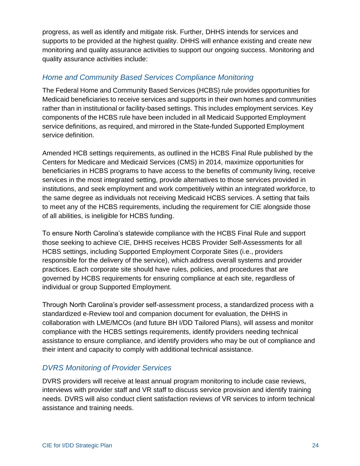progress, as well as identify and mitigate risk. Further, DHHS intends for services and supports to be provided at the highest quality. DHHS will enhance existing and create new monitoring and quality assurance activities to support our ongoing success. Monitoring and quality assurance activities include:

### *Home and Community Based Services Compliance Monitoring*

The Federal Home and Community Based Services (HCBS) rule provides opportunities for Medicaid beneficiaries to receive services and supports in their own homes and communities rather than in institutional or facility-based settings. This includes employment services. Key components of the HCBS rule have been included in all Medicaid Supported Employment service definitions, as required, and mirrored in the State-funded Supported Employment service definition.

Amended HCB settings requirements, as outlined in the HCBS Final Rule published by the Centers for Medicare and Medicaid Services (CMS) in 2014, maximize opportunities for beneficiaries in HCBS programs to have access to the benefits of community living, receive services in the most integrated setting, provide alternatives to those services provided in institutions, and seek employment and work competitively within an integrated workforce, to the same degree as individuals not receiving Medicaid HCBS services. A setting that fails to meet any of the HCBS requirements, including the requirement for CIE alongside those of all abilities, is ineligible for HCBS funding.

To ensure North Carolina's statewide compliance with the HCBS Final Rule and support those seeking to achieve CIE, DHHS receives HCBS Provider Self-Assessments for all HCBS settings, including Supported Employment Corporate Sites (i.e., providers responsible for the delivery of the service), which address overall systems and provider practices. Each corporate site should have rules, policies, and procedures that are governed by HCBS requirements for ensuring compliance at each site, regardless of individual or group Supported Employment.

Through North Carolina's provider self-assessment process, a standardized process with a standardized e-Review tool and companion document for evaluation, the DHHS in collaboration with LME/MCOs (and future BH I/DD Tailored Plans), will assess and monitor compliance with the HCBS settings requirements, identify providers needing technical assistance to ensure compliance, and identify providers who may be out of compliance and their intent and capacity to comply with additional technical assistance.

# *DVRS Monitoring of Provider Services*

DVRS providers will receive at least annual program monitoring to include case reviews, interviews with provider staff and VR staff to discuss service provision and identify training needs. DVRS will also conduct client satisfaction reviews of VR services to inform technical assistance and training needs.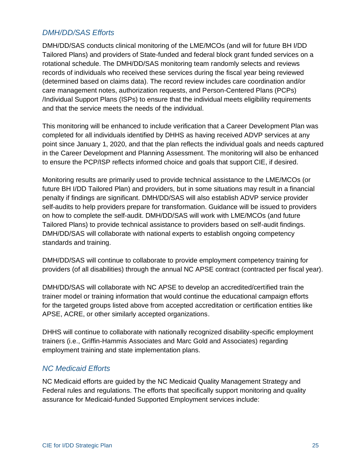## *DMH/DD/SAS Efforts*

DMH/DD/SAS conducts clinical monitoring of the LME/MCOs (and will for future BH I/DD Tailored Plans) and providers of State-funded and federal block grant funded services on a rotational schedule. The DMH/DD/SAS monitoring team randomly selects and reviews records of individuals who received these services during the fiscal year being reviewed (determined based on claims data). The record review includes care coordination and/or care management notes, authorization requests, and Person-Centered Plans (PCPs) /Individual Support Plans (ISPs) to ensure that the individual meets eligibility requirements and that the service meets the needs of the individual.

This monitoring will be enhanced to include verification that a Career Development Plan was completed for all individuals identified by DHHS as having received ADVP services at any point since January 1, 2020, and that the plan reflects the individual goals and needs captured in the Career Development and Planning Assessment. The monitoring will also be enhanced to ensure the PCP/ISP reflects informed choice and goals that support CIE, if desired.

Monitoring results are primarily used to provide technical assistance to the LME/MCOs (or future BH I/DD Tailored Plan) and providers, but in some situations may result in a financial penalty if findings are significant. DMH/DD/SAS will also establish ADVP service provider self-audits to help providers prepare for transformation. Guidance will be issued to providers on how to complete the self-audit. DMH/DD/SAS will work with LME/MCOs (and future Tailored Plans) to provide technical assistance to providers based on self-audit findings. DMH/DD/SAS will collaborate with national experts to establish ongoing competency standards and training.

DMH/DD/SAS will continue to collaborate to provide employment competency training for providers (of all disabilities) through the annual NC APSE contract (contracted per fiscal year).

DMH/DD/SAS will collaborate with NC APSE to develop an accredited/certified train the trainer model or training information that would continue the educational campaign efforts for the targeted groups listed above from accepted accreditation or certification entities like APSE, ACRE, or other similarly accepted organizations.

DHHS will continue to collaborate with nationally recognized disability-specific employment trainers (i.e., Griffin-Hammis Associates and Marc Gold and Associates) regarding employment training and state implementation plans.

## *NC Medicaid Efforts*

NC Medicaid efforts are guided by the NC Medicaid Quality Management Strategy and Federal rules and regulations. The efforts that specifically support monitoring and quality assurance for Medicaid-funded Supported Employment services include: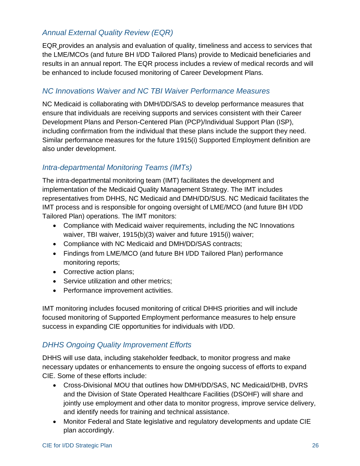# *Annual External Quality Review (EQR)*

EQR provides an analysis and evaluation of quality, timeliness and access to services that the LME/MCOs (and future BH I/DD Tailored Plans) provide to Medicaid beneficiaries and results in an annual report. The EQR process includes a review of medical records and will be enhanced to include focused monitoring of Career Development Plans.

### *NC Innovations Waiver and NC TBI Waiver Performance Measures*

NC Medicaid is collaborating with DMH/DD/SAS to develop performance measures that ensure that individuals are receiving supports and services consistent with their Career Development Plans and Person-Centered Plan (PCP)/Individual Support Plan (ISP), including confirmation from the individual that these plans include the support they need. Similar performance measures for the future 1915(i) Supported Employment definition are also under development.

# *Intra-departmental Monitoring Teams (IMTs)*

The intra-departmental monitoring team (IMT) facilitates the development and implementation of the Medicaid Quality Management Strategy. The IMT includes representatives from DHHS, NC Medicaid and DMH/DD/SUS. NC Medicaid facilitates the IMT process and is responsible for ongoing oversight of LME/MCO (and future BH I/DD Tailored Plan) operations. The IMT monitors:

- Compliance with Medicaid waiver requirements, including the NC Innovations waiver, TBI waiver, 1915(b)(3) waiver and future 1915(i) waiver;
- Compliance with NC Medicaid and DMH/DD/SAS contracts;
- Findings from LME/MCO (and future BH I/DD Tailored Plan) performance monitoring reports;
- Corrective action plans;
- Service utilization and other metrics;
- Performance improvement activities.

IMT monitoring includes focused monitoring of critical DHHS priorities and will include focused monitoring of Supported Employment performance measures to help ensure success in expanding CIE opportunities for individuals with I/DD.

## *DHHS Ongoing Quality Improvement Efforts*

DHHS will use data, including stakeholder feedback, to monitor progress and make necessary updates or enhancements to ensure the ongoing success of efforts to expand CIE. Some of these efforts include:

- Cross-Divisional MOU that outlines how DMH/DD/SAS, NC Medicaid/DHB, DVRS and the Division of State Operated Healthcare Facilities (DSOHF) will share and jointly use employment and other data to monitor progress, improve service delivery, and identify needs for training and technical assistance.
- Monitor Federal and State legislative and regulatory developments and update CIE plan accordingly.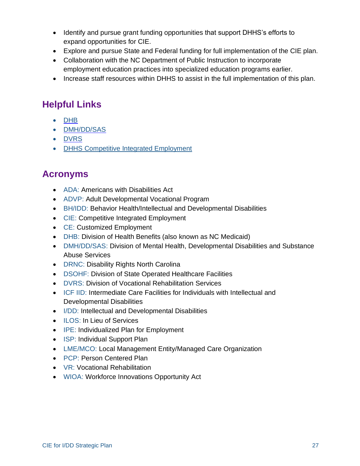- Identify and pursue grant funding opportunities that support DHHS's efforts to expand opportunities for CIE.
- Explore and pursue State and Federal funding for full implementation of the CIE plan.
- Collaboration with the NC Department of Public Instruction to incorporate employment education practices into specialized education programs earlier.
- Increase staff resources within DHHS to assist in the full implementation of this plan.

# <span id="page-27-0"></span>**Helpful Links**

- [DHB](https://medicaid.ncdhhs.gov/)
- [DMH/DD/SAS](https://www.ncdhhs.gov/divisions/mental-health-developmental-disabilities-and-substance-abuse-services)
- [DVRS](https://www.ncdhhs.gov/divisions/vocational-rehabilitation-services)
- <span id="page-27-1"></span>• [DHHS Competitive Integrated Employment](https://www.ncdhhs.gov/about/department-initiatives/competitive-integrated-employment)

# **Acronyms**

- ADA: Americans with Disabilities Act
- ADVP: Adult Developmental Vocational Program
- BH/IDD: Behavior Health/Intellectual and Developmental Disabilities
- CIE: Competitive Integrated Employment
- CE: Customized Employment
- DHB: Division of Health Benefits (also known as NC Medicaid)
- DMH/DD/SAS: Division of Mental Health, Developmental Disabilities and Substance Abuse Services
- DRNC: Disability Rights North Carolina
- DSOHF: Division of State Operated Healthcare Facilities
- DVRS: Division of Vocational Rehabilitation Services
- ICF IID: Intermediate Care Facilities for Individuals with Intellectual and Developmental Disabilities
- I/DD: Intellectual and Developmental Disabilities
- ILOS: In Lieu of Services
- IPE: Individualized Plan for Employment
- ISP: Individual Support Plan
- LME/MCO: Local Management Entity/Managed Care Organization
- PCP: Person Centered Plan
- VR: Vocational Rehabilitation
- WIOA: Workforce Innovations Opportunity Act